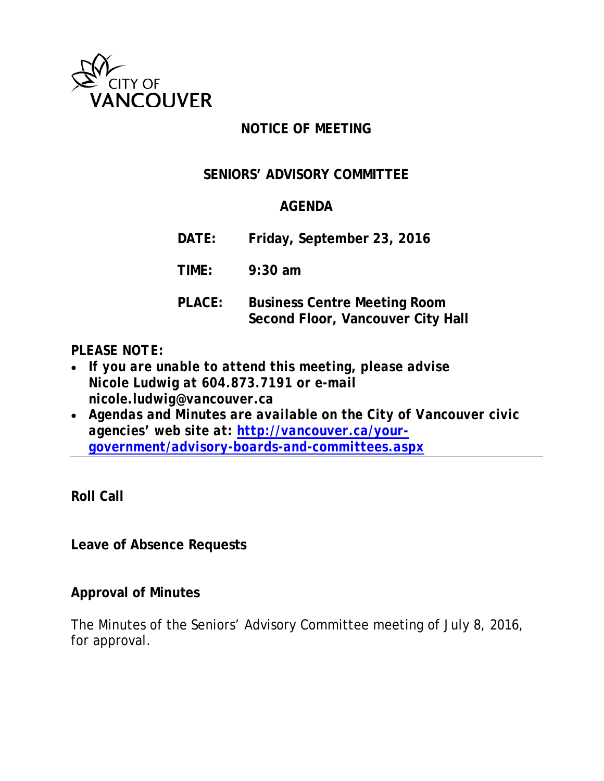

# **NOTICE OF MEETING**

# **SENIORS' ADVISORY COMMITTEE**

# **AGENDA**

**DATE: Friday, September 23, 2016**

**TIME: 9:30 am**

**PLACE: Business Centre Meeting Room Second Floor, Vancouver City Hall**

## *PLEASE NOTE:*

- *If you are unable to attend this meeting, please advise Nicole Ludwig at 604.873.7191 or e-mail nicole.ludwig@vancouver.ca*
- *Agendas and Minutes are available on the City of Vancouver civic agencies' web site at: [http://vancouver.ca/your](http://vancouver.ca/your-government/advisory-boards-and-committees.aspx)[government/advisory-boards-and-committees.aspx](http://vancouver.ca/your-government/advisory-boards-and-committees.aspx)*

**Roll Call**

**Leave of Absence Requests**

## **Approval of Minutes**

The Minutes of the Seniors' Advisory Committee meeting of July 8, 2016, for approval.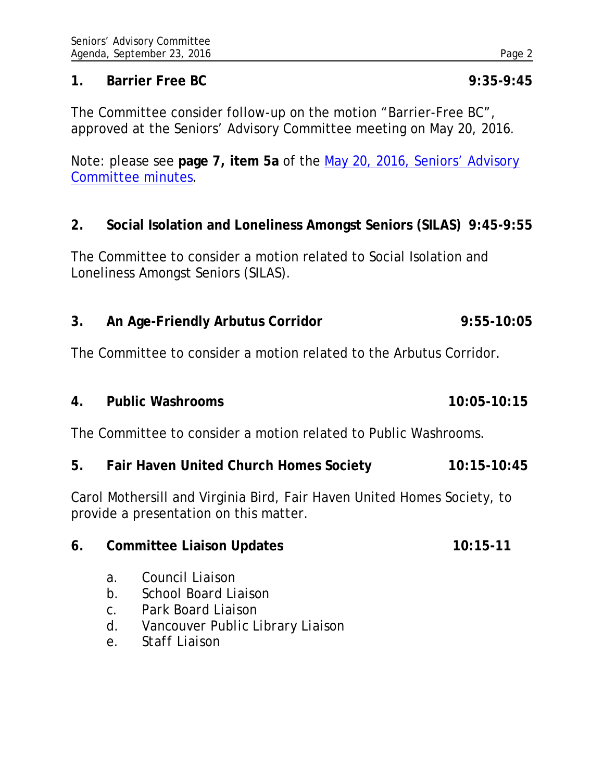#### **1. Barrier Free BC 9:35-9:45**

The Committee consider follow-up on the motion "Barrier-Free BC", approved at the Seniors' Advisory Committee meeting on May 20, 2016.

Note: please see **page 7, item 5a** of the [May 20, 2016, Seniors' Advisory](http://vancouver.ca/docs/council/sadv20160521min.pdf)  [Committee minutes.](http://vancouver.ca/docs/council/sadv20160521min.pdf)

#### **2. Social Isolation and Loneliness Amongst Seniors (SILAS) 9:45-9:55**

The Committee to consider a motion related to Social Isolation and Loneliness Amongst Seniors (SILAS).

**3. An Age-Friendly Arbutus Corridor 9:55-10:05**

The Committee to consider a motion related to the Arbutus Corridor.

**4. Public Washrooms 10:05-10:15**

The Committee to consider a motion related to Public Washrooms.

**5. Fair Haven United Church Homes Society 10:15-10:45**

Carol Mothersill and Virginia Bird, Fair Haven United Homes Society, to provide a presentation on this matter.

| Committee Liaison Updates<br>6. | $10:15-11$ |
|---------------------------------|------------|
|---------------------------------|------------|

- *a. Council Liaison*
- *b. School Board Liaison*
- *c. Park Board Liaison*
- *d. Vancouver Public Library Liaison*
- *e. Staff Liaison*